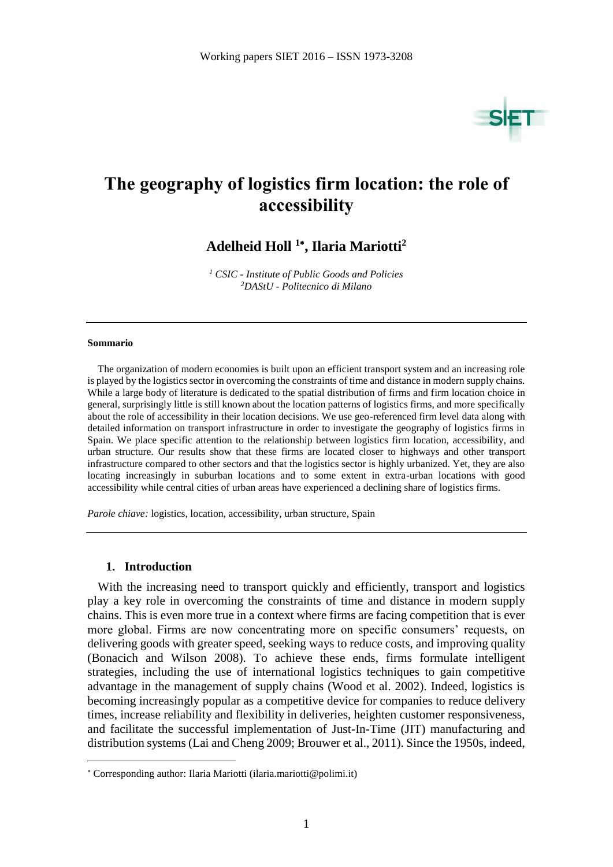

## **The geography of logistics firm location: the role of accessibility**

## **Adelheid Holl <sup>1</sup> , Ilaria Mariotti<sup>2</sup>**

*<sup>1</sup> CSIC - Institute of Public Goods and Policies <sup>2</sup>DAStU - Politecnico di Milano*

#### **Sommario**

The organization of modern economies is built upon an efficient transport system and an increasing role is played by the logistics sector in overcoming the constraints of time and distance in modern supply chains. While a large body of literature is dedicated to the spatial distribution of firms and firm location choice in general, surprisingly little is still known about the location patterns of logistics firms, and more specifically about the role of accessibility in their location decisions. We use geo-referenced firm level data along with detailed information on transport infrastructure in order to investigate the geography of logistics firms in Spain. We place specific attention to the relationship between logistics firm location, accessibility, and urban structure. Our results show that these firms are located closer to highways and other transport infrastructure compared to other sectors and that the logistics sector is highly urbanized. Yet, they are also locating increasingly in suburban locations and to some extent in extra-urban locations with good accessibility while central cities of urban areas have experienced a declining share of logistics firms.

*Parole chiave:* logistics, location, accessibility, urban structure, Spain

#### **1. Introduction**

 $\overline{a}$ 

With the increasing need to transport quickly and efficiently, transport and logistics play a key role in overcoming the constraints of time and distance in modern supply chains. This is even more true in a context where firms are facing competition that is ever more global. Firms are now concentrating more on specific consumers' requests, on delivering goods with greater speed, seeking ways to reduce costs, and improving quality (Bonacich and Wilson 2008). To achieve these ends, firms formulate intelligent strategies, including the use of international logistics techniques to gain competitive advantage in the management of supply chains (Wood et al. 2002). Indeed, logistics is becoming increasingly popular as a competitive device for companies to reduce delivery times, increase reliability and flexibility in deliveries, heighten customer responsiveness, and facilitate the successful implementation of Just-In-Time (JIT) manufacturing and distribution systems (Lai and Cheng 2009; Brouwer et al., 2011). Since the 1950s, indeed,

Corresponding author: Ilaria Mariotti (ilaria.mariotti@polimi.it)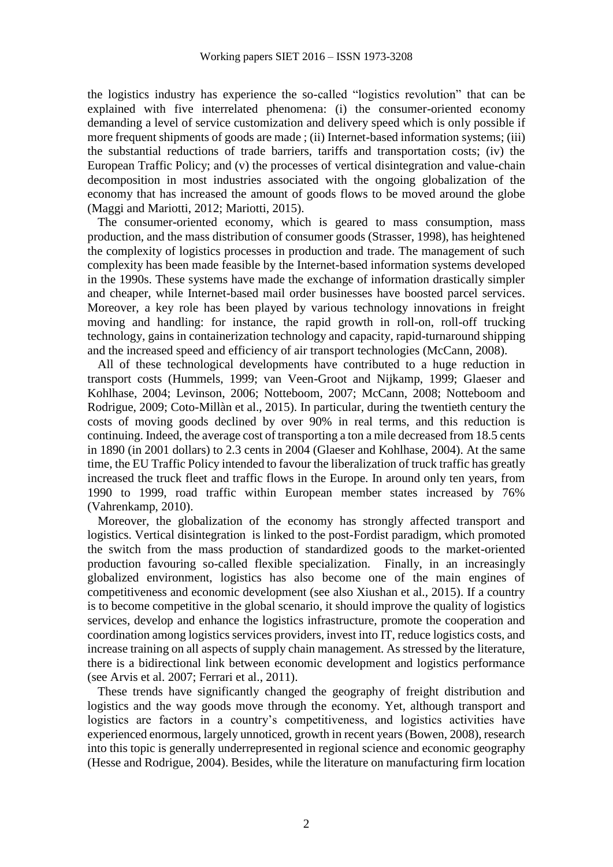the logistics industry has experience the so-called "logistics revolution" that can be explained with five interrelated phenomena: (i) the consumer-oriented economy demanding a level of service customization and delivery speed which is only possible if more frequent shipments of goods are made ; (ii) Internet-based information systems; (iii) the substantial reductions of trade barriers, tariffs and transportation costs; (iv) the European Traffic Policy; and (v) the processes of vertical disintegration and value-chain decomposition in most industries associated with the ongoing globalization of the economy that has increased the amount of goods flows to be moved around the globe (Maggi and Mariotti, 2012; Mariotti, 2015).

The consumer-oriented economy, which is geared to mass consumption, mass production, and the mass distribution of consumer goods (Strasser, 1998), has heightened the complexity of logistics processes in production and trade. The management of such complexity has been made feasible by the Internet-based information systems developed in the 1990s. These systems have made the exchange of information drastically simpler and cheaper, while Internet-based mail order businesses have boosted parcel services. Moreover, a key role has been played by various technology innovations in freight moving and handling: for instance, the rapid growth in roll-on, roll-off trucking technology, gains in containerization technology and capacity, rapid-turnaround shipping and the increased speed and efficiency of air transport technologies (McCann, 2008).

All of these technological developments have contributed to a huge reduction in transport costs (Hummels, 1999; van Veen-Groot and Nijkamp, 1999; Glaeser and Kohlhase, 2004; Levinson, 2006; Notteboom, 2007; McCann, 2008; Notteboom and Rodrigue, 2009; Coto-Millàn et al., 2015). In particular, during the twentieth century the costs of moving goods declined by over 90% in real terms, and this reduction is continuing. Indeed, the average cost of transporting a ton a mile decreased from 18.5 cents in 1890 (in 2001 dollars) to 2.3 cents in 2004 (Glaeser and Kohlhase, 2004). At the same time, the EU Traffic Policy intended to favour the liberalization of truck traffic has greatly increased the truck fleet and traffic flows in the Europe. In around only ten years, from 1990 to 1999, road traffic within European member states increased by 76% (Vahrenkamp, 2010).

Moreover, the globalization of the economy has strongly affected transport and logistics. Vertical disintegration is linked to the post-Fordist paradigm, which promoted the switch from the mass production of standardized goods to the market-oriented production favouring so-called flexible specialization. Finally, in an increasingly globalized environment, logistics has also become one of the main engines of competitiveness and economic development (see also Xiushan et al., 2015). If a country is to become competitive in the global scenario, it should improve the quality of logistics services, develop and enhance the logistics infrastructure, promote the cooperation and coordination among logistics services providers, invest into IT, reduce logistics costs, and increase training on all aspects of supply chain management. As stressed by the literature, there is a bidirectional link between economic development and logistics performance (see Arvis et al. 2007; Ferrari et al., 2011).

These trends have significantly changed the geography of freight distribution and logistics and the way goods move through the economy. Yet, although transport and logistics are factors in a country's competitiveness, and logistics activities have experienced enormous, largely unnoticed, growth in recent years (Bowen, 2008), research into this topic is generally underrepresented in regional science and economic geography (Hesse and Rodrigue, 2004). Besides, while the literature on manufacturing firm location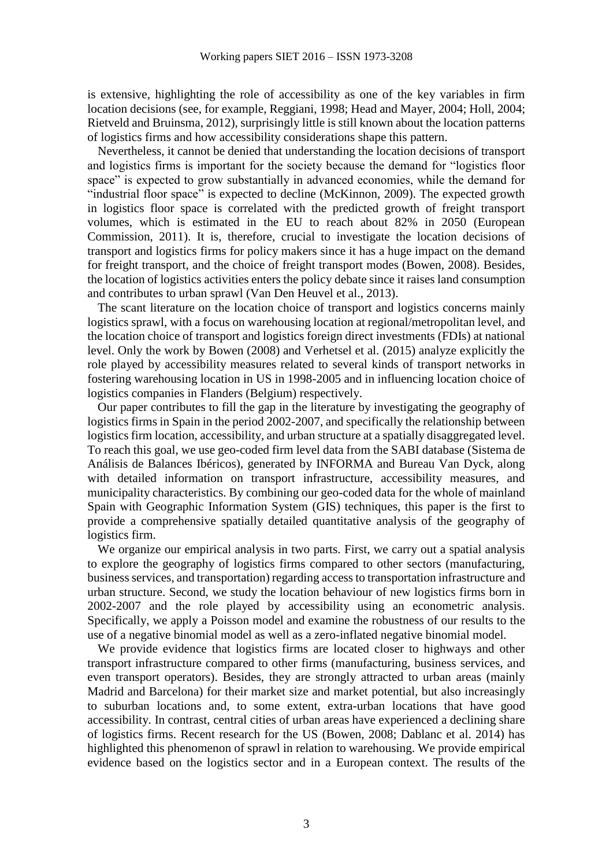is extensive, highlighting the role of accessibility as one of the key variables in firm location decisions (see, for example, Reggiani, 1998; Head and Mayer, 2004; Holl, 2004; Rietveld and Bruinsma, 2012), surprisingly little is still known about the location patterns of logistics firms and how accessibility considerations shape this pattern.

Nevertheless, it cannot be denied that understanding the location decisions of transport and logistics firms is important for the society because the demand for "logistics floor space" is expected to grow substantially in advanced economies, while the demand for "industrial floor space" is expected to decline (McKinnon, 2009). The expected growth in logistics floor space is correlated with the predicted growth of freight transport volumes, which is estimated in the EU to reach about 82% in 2050 (European Commission, 2011). It is, therefore, crucial to investigate the location decisions of transport and logistics firms for policy makers since it has a huge impact on the demand for freight transport, and the choice of freight transport modes (Bowen, 2008). Besides, the location of logistics activities enters the policy debate since it raises land consumption and contributes to urban sprawl (Van Den Heuvel et al., 2013).

The scant literature on the location choice of transport and logistics concerns mainly logistics sprawl, with a focus on warehousing location at regional/metropolitan level, and the location choice of transport and logistics foreign direct investments (FDIs) at national level. Only the work by Bowen (2008) and Verhetsel et al. (2015) analyze explicitly the role played by accessibility measures related to several kinds of transport networks in fostering warehousing location in US in 1998-2005 and in influencing location choice of logistics companies in Flanders (Belgium) respectively.

Our paper contributes to fill the gap in the literature by investigating the geography of logistics firms in Spain in the period 2002-2007, and specifically the relationship between logistics firm location, accessibility, and urban structure at a spatially disaggregated level. To reach this goal, we use geo-coded firm level data from the SABI database (Sistema de Análisis de Balances Ibéricos), generated by INFORMA and Bureau Van Dyck, along with detailed information on transport infrastructure, accessibility measures, and municipality characteristics. By combining our geo-coded data for the whole of mainland Spain with Geographic Information System (GIS) techniques, this paper is the first to provide a comprehensive spatially detailed quantitative analysis of the geography of logistics firm.

We organize our empirical analysis in two parts. First, we carry out a spatial analysis to explore the geography of logistics firms compared to other sectors (manufacturing, business services, and transportation) regarding access to transportation infrastructure and urban structure. Second, we study the location behaviour of new logistics firms born in 2002-2007 and the role played by accessibility using an econometric analysis. Specifically, we apply a Poisson model and examine the robustness of our results to the use of a negative binomial model as well as a zero-inflated negative binomial model.

We provide evidence that logistics firms are located closer to highways and other transport infrastructure compared to other firms (manufacturing, business services, and even transport operators). Besides, they are strongly attracted to urban areas (mainly Madrid and Barcelona) for their market size and market potential, but also increasingly to suburban locations and, to some extent, extra-urban locations that have good accessibility. In contrast, central cities of urban areas have experienced a declining share of logistics firms. Recent research for the US (Bowen, 2008; Dablanc et al. 2014) has highlighted this phenomenon of sprawl in relation to warehousing. We provide empirical evidence based on the logistics sector and in a European context. The results of the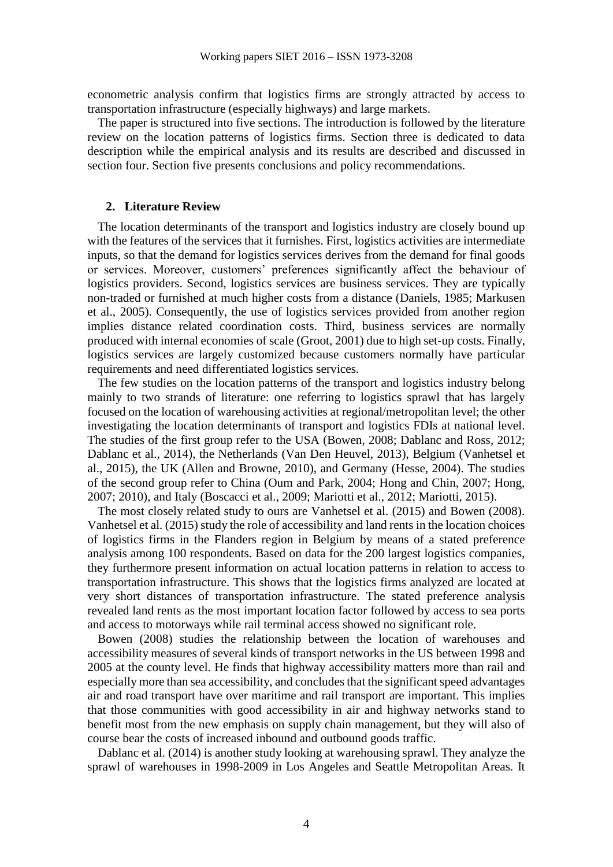econometric analysis confirm that logistics firms are strongly attracted by access to transportation infrastructure (especially highways) and large markets.

The paper is structured into five sections. The introduction is followed by the literature review on the location patterns of logistics firms. Section three is dedicated to data description while the empirical analysis and its results are described and discussed in section four. Section five presents conclusions and policy recommendations.

#### **2. Literature Review**

The location determinants of the transport and logistics industry are closely bound up with the features of the services that it furnishes. First, logistics activities are intermediate inputs, so that the demand for logistics services derives from the demand for final goods or services. Moreover, customers' preferences significantly affect the behaviour of logistics providers. Second, logistics services are business services. They are typically non-traded or furnished at much higher costs from a distance (Daniels, 1985; Markusen et al., 2005). Consequently, the use of logistics services provided from another region implies distance related coordination costs. Third, business services are normally produced with internal economies of scale (Groot, 2001) due to high set-up costs. Finally, logistics services are largely customized because customers normally have particular requirements and need differentiated logistics services.

The few studies on the location patterns of the transport and logistics industry belong mainly to two strands of literature: one referring to logistics sprawl that has largely focused on the location of warehousing activities at regional/metropolitan level; the other investigating the location determinants of transport and logistics FDIs at national level. The studies of the first group refer to the USA (Bowen, 2008; Dablanc and Ross, 2012; Dablanc et al., 2014), the Netherlands (Van Den Heuvel, 2013), Belgium (Vanhetsel et al., 2015), the UK (Allen and Browne, 2010), and Germany (Hesse, 2004). The studies of the second group refer to China (Oum and Park, 2004; Hong and Chin, 2007; Hong, 2007; 2010), and Italy (Boscacci et al., 2009; Mariotti et al., 2012; Mariotti, 2015).

The most closely related study to ours are Vanhetsel et al. (2015) and Bowen (2008). Vanhetsel et al. (2015) study the role of accessibility and land rents in the location choices of logistics firms in the Flanders region in Belgium by means of a stated preference analysis among 100 respondents. Based on data for the 200 largest logistics companies, they furthermore present information on actual location patterns in relation to access to transportation infrastructure. This shows that the logistics firms analyzed are located at very short distances of transportation infrastructure. The stated preference analysis revealed land rents as the most important location factor followed by access to sea ports and access to motorways while rail terminal access showed no significant role.

Bowen (2008) studies the relationship between the location of warehouses and accessibility measures of several kinds of transport networks in the US between 1998 and 2005 at the county level. He finds that highway accessibility matters more than rail and especially more than sea accessibility, and concludes that the significant speed advantages air and road transport have over maritime and rail transport are important. This implies that those communities with good accessibility in air and highway networks stand to benefit most from the new emphasis on supply chain management, but they will also of course bear the costs of increased inbound and outbound goods traffic.

Dablanc et al. (2014) is another study looking at warehousing sprawl. They analyze the sprawl of warehouses in 1998-2009 in Los Angeles and Seattle Metropolitan Areas. It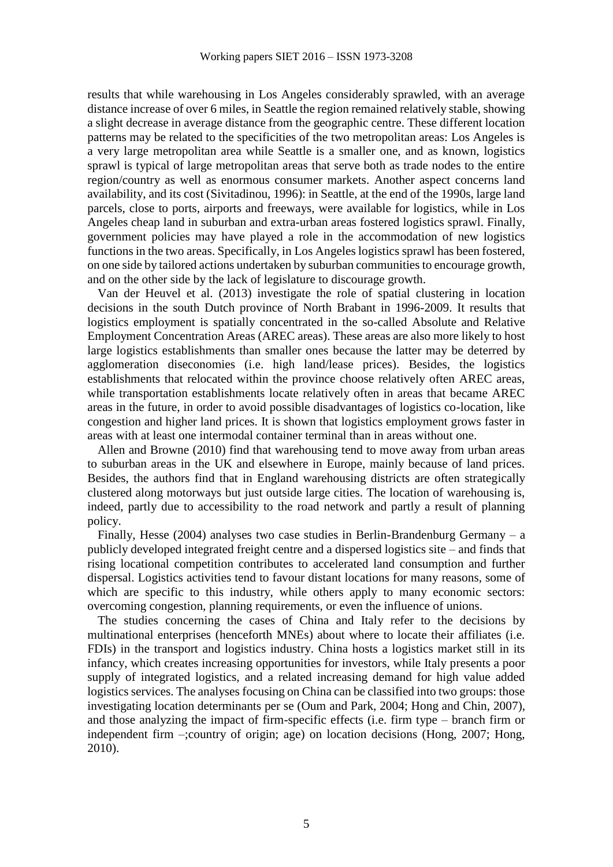results that while warehousing in Los Angeles considerably sprawled, with an average distance increase of over 6 miles, in Seattle the region remained relatively stable, showing a slight decrease in average distance from the geographic centre. These different location patterns may be related to the specificities of the two metropolitan areas: Los Angeles is a very large metropolitan area while Seattle is a smaller one, and as known, logistics sprawl is typical of large metropolitan areas that serve both as trade nodes to the entire region/country as well as enormous consumer markets. Another aspect concerns land availability, and its cost (Sivitadinou, 1996): in Seattle, at the end of the 1990s, large land parcels, close to ports, airports and freeways, were available for logistics, while in Los Angeles cheap land in suburban and extra-urban areas fostered logistics sprawl. Finally, government policies may have played a role in the accommodation of new logistics functions in the two areas. Specifically, in Los Angeles logistics sprawl has been fostered, on one side by tailored actions undertaken by suburban communities to encourage growth, and on the other side by the lack of legislature to discourage growth.

Van der Heuvel et al. (2013) investigate the role of spatial clustering in location decisions in the south Dutch province of North Brabant in 1996-2009. It results that logistics employment is spatially concentrated in the so-called Absolute and Relative Employment Concentration Areas (AREC areas). These areas are also more likely to host large logistics establishments than smaller ones because the latter may be deterred by agglomeration diseconomies (i.e. high land/lease prices). Besides, the logistics establishments that relocated within the province choose relatively often AREC areas, while transportation establishments locate relatively often in areas that became AREC areas in the future, in order to avoid possible disadvantages of logistics co-location, like congestion and higher land prices. It is shown that logistics employment grows faster in areas with at least one intermodal container terminal than in areas without one.

Allen and Browne (2010) find that warehousing tend to move away from urban areas to suburban areas in the UK and elsewhere in Europe, mainly because of land prices. Besides, the authors find that in England warehousing districts are often strategically clustered along motorways but just outside large cities. The location of warehousing is, indeed, partly due to accessibility to the road network and partly a result of planning policy.

Finally, Hesse (2004) analyses two case studies in Berlin-Brandenburg Germany – a publicly developed integrated freight centre and a dispersed logistics site – and finds that rising locational competition contributes to accelerated land consumption and further dispersal. Logistics activities tend to favour distant locations for many reasons, some of which are specific to this industry, while others apply to many economic sectors: overcoming congestion, planning requirements, or even the influence of unions.

The studies concerning the cases of China and Italy refer to the decisions by multinational enterprises (henceforth MNEs) about where to locate their affiliates (i.e. FDIs) in the transport and logistics industry. China hosts a logistics market still in its infancy, which creates increasing opportunities for investors, while Italy presents a poor supply of integrated logistics, and a related increasing demand for high value added logistics services. The analyses focusing on China can be classified into two groups: those investigating location determinants per se (Oum and Park, 2004; Hong and Chin, 2007), and those analyzing the impact of firm-specific effects (i.e. firm type – branch firm or independent firm –;country of origin; age) on location decisions (Hong, 2007; Hong, 2010).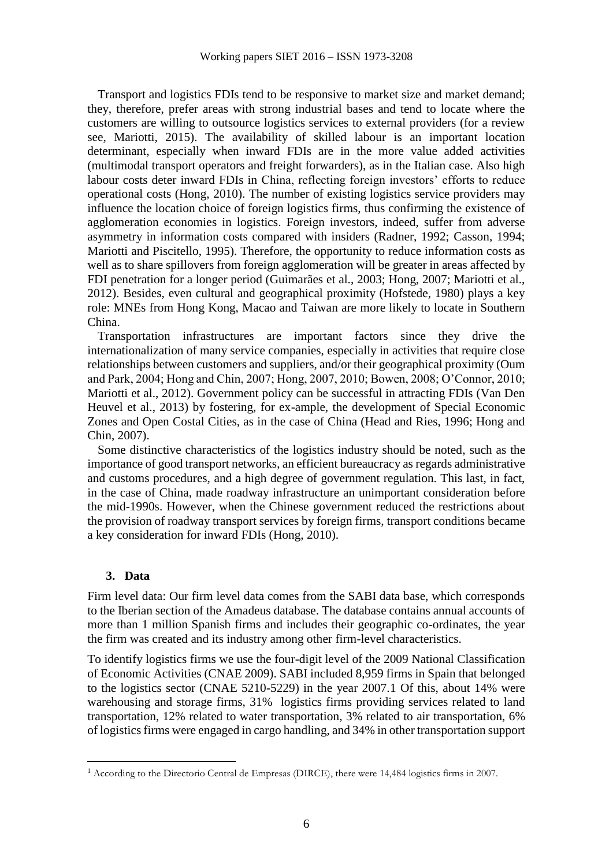Transport and logistics FDIs tend to be responsive to market size and market demand; they, therefore, prefer areas with strong industrial bases and tend to locate where the customers are willing to outsource logistics services to external providers (for a review see, Mariotti, 2015). The availability of skilled labour is an important location determinant, especially when inward FDIs are in the more value added activities (multimodal transport operators and freight forwarders), as in the Italian case. Also high labour costs deter inward FDIs in China, reflecting foreign investors' efforts to reduce operational costs (Hong, 2010). The number of existing logistics service providers may influence the location choice of foreign logistics firms, thus confirming the existence of agglomeration economies in logistics. Foreign investors, indeed, suffer from adverse asymmetry in information costs compared with insiders (Radner, 1992; Casson, 1994; Mariotti and Piscitello, 1995). Therefore, the opportunity to reduce information costs as well as to share spillovers from foreign agglomeration will be greater in areas affected by FDI penetration for a longer period (Guimarães et al., 2003; Hong, 2007; Mariotti et al., 2012). Besides, even cultural and geographical proximity (Hofstede, 1980) plays a key role: MNEs from Hong Kong, Macao and Taiwan are more likely to locate in Southern China.

Transportation infrastructures are important factors since they drive the internationalization of many service companies, especially in activities that require close relationships between customers and suppliers, and/or their geographical proximity (Oum and Park, 2004; Hong and Chin, 2007; Hong, 2007, 2010; Bowen, 2008; O'Connor, 2010; Mariotti et al., 2012). Government policy can be successful in attracting FDIs (Van Den Heuvel et al., 2013) by fostering, for ex-ample, the development of Special Economic Zones and Open Costal Cities, as in the case of China (Head and Ries, 1996; Hong and Chin, 2007).

Some distinctive characteristics of the logistics industry should be noted, such as the importance of good transport networks, an efficient bureaucracy as regards administrative and customs procedures, and a high degree of government regulation. This last, in fact, in the case of China, made roadway infrastructure an unimportant consideration before the mid-1990s. However, when the Chinese government reduced the restrictions about the provision of roadway transport services by foreign firms, transport conditions became a key consideration for inward FDIs (Hong, 2010).

## **3. Data**

 $\overline{a}$ 

Firm level data: Our firm level data comes from the SABI data base, which corresponds to the Iberian section of the Amadeus database. The database contains annual accounts of more than 1 million Spanish firms and includes their geographic co-ordinates, the year the firm was created and its industry among other firm-level characteristics.

To identify logistics firms we use the four-digit level of the 2009 National Classification of Economic Activities (CNAE 2009). SABI included 8,959 firms in Spain that belonged to the logistics sector (CNAE 5210-5229) in the year 2007.1 Of this, about 14% were warehousing and storage firms, 31% logistics firms providing services related to land transportation, 12% related to water transportation, 3% related to air transportation, 6% of logistics firms were engaged in cargo handling, and 34% in other transportation support

<sup>&</sup>lt;sup>1</sup> According to the Directorio Central de Empresas (DIRCE), there were 14,484 logistics firms in 2007.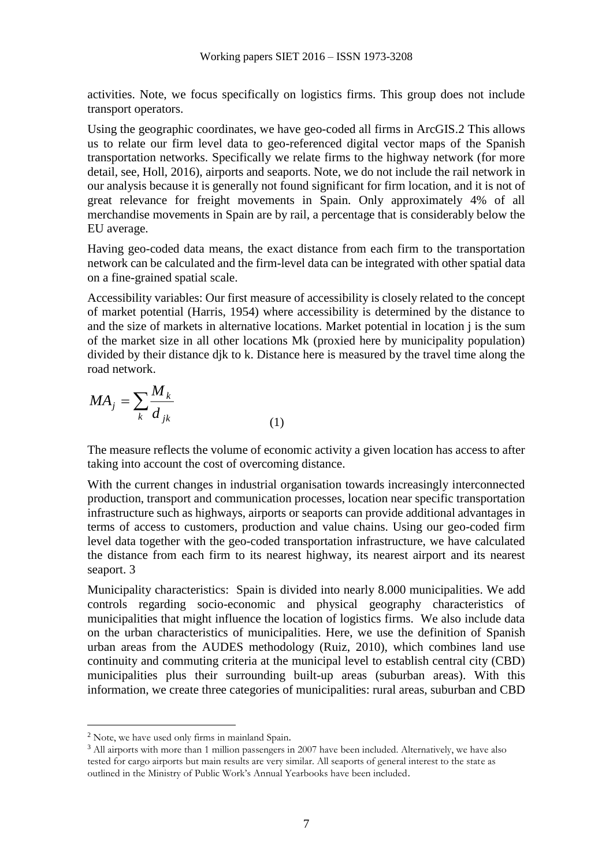activities. Note, we focus specifically on logistics firms. This group does not include transport operators.

Using the geographic coordinates, we have geo-coded all firms in ArcGIS.2 This allows us to relate our firm level data to geo-referenced digital vector maps of the Spanish transportation networks. Specifically we relate firms to the highway network (for more detail, see, Holl, 2016), airports and seaports. Note, we do not include the rail network in our analysis because it is generally not found significant for firm location, and it is not of great relevance for freight movements in Spain. Only approximately 4% of all merchandise movements in Spain are by rail, a percentage that is considerably below the EU average.

Having geo-coded data means, the exact distance from each firm to the transportation network can be calculated and the firm-level data can be integrated with other spatial data on a fine-grained spatial scale.

Accessibility variables: Our first measure of accessibility is closely related to the concept of market potential (Harris, 1954) where accessibility is determined by the distance to and the size of markets in alternative locations. Market potential in location j is the sum of the market size in all other locations Mk (proxied here by municipality population) divided by their distance djk to k. Distance here is measured by the travel time along the road network.

$$
MA_j = \sum_{k} \frac{M_k}{d_{jk}}
$$
 (1)

The measure reflects the volume of economic activity a given location has access to after taking into account the cost of overcoming distance.

With the current changes in industrial organisation towards increasingly interconnected production, transport and communication processes, location near specific transportation infrastructure such as highways, airports or seaports can provide additional advantages in terms of access to customers, production and value chains. Using our geo-coded firm level data together with the geo-coded transportation infrastructure, we have calculated the distance from each firm to its nearest highway, its nearest airport and its nearest seaport. 3

Municipality characteristics: Spain is divided into nearly 8.000 municipalities. We add controls regarding socio-economic and physical geography characteristics of municipalities that might influence the location of logistics firms. We also include data on the urban characteristics of municipalities. Here, we use the definition of Spanish urban areas from the AUDES methodology (Ruiz, 2010), which combines land use continuity and commuting criteria at the municipal level to establish central city (CBD) municipalities plus their surrounding built-up areas (suburban areas). With this information, we create three categories of municipalities: rural areas, suburban and CBD

 $\overline{a}$ 

<sup>2</sup> Note, we have used only firms in mainland Spain.

<sup>&</sup>lt;sup>3</sup> All airports with more than 1 million passengers in 2007 have been included. Alternatively, we have also tested for cargo airports but main results are very similar. All seaports of general interest to the state as outlined in the Ministry of Public Work's Annual Yearbooks have been included.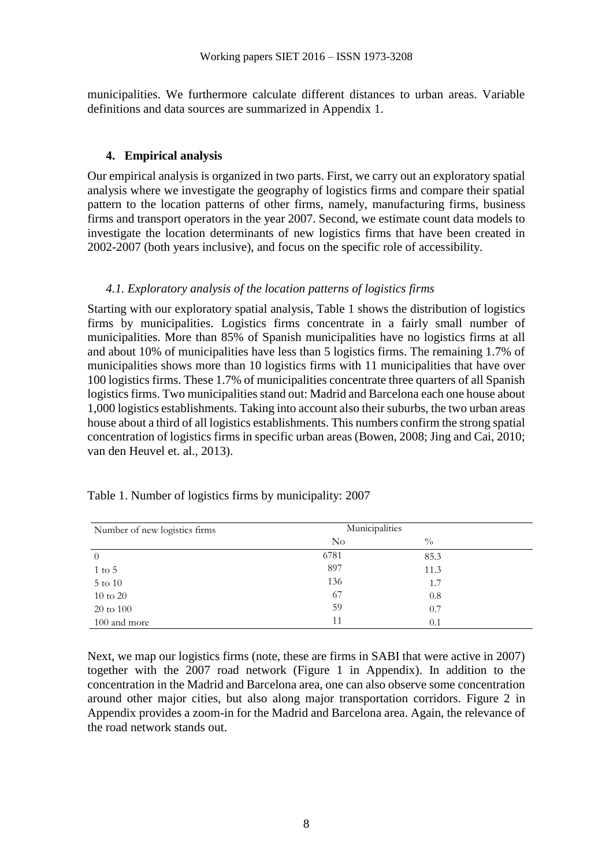municipalities. We furthermore calculate different distances to urban areas. Variable definitions and data sources are summarized in Appendix 1.

### **4. Empirical analysis**

Our empirical analysis is organized in two parts. First, we carry out an exploratory spatial analysis where we investigate the geography of logistics firms and compare their spatial pattern to the location patterns of other firms, namely, manufacturing firms, business firms and transport operators in the year 2007. Second, we estimate count data models to investigate the location determinants of new logistics firms that have been created in 2002-2007 (both years inclusive), and focus on the specific role of accessibility.

#### *4.1. Exploratory analysis of the location patterns of logistics firms*

Starting with our exploratory spatial analysis, Table 1 shows the distribution of logistics firms by municipalities. Logistics firms concentrate in a fairly small number of municipalities. More than 85% of Spanish municipalities have no logistics firms at all and about 10% of municipalities have less than 5 logistics firms. The remaining 1.7% of municipalities shows more than 10 logistics firms with 11 municipalities that have over 100 logistics firms. These 1.7% of municipalities concentrate three quarters of all Spanish logistics firms. Two municipalities stand out: Madrid and Barcelona each one house about 1,000 logistics establishments. Taking into account also their suburbs, the two urban areas house about a third of all logistics establishments. This numbers confirm the strong spatial concentration of logistics firms in specific urban areas (Bowen, 2008; Jing and Cai, 2010; van den Heuvel et. al., 2013).

| Number of new logistics firms | Municipalities |               |  |
|-------------------------------|----------------|---------------|--|
|                               | No             | $\frac{0}{0}$ |  |
| $\theta$                      | 6781           | 85.3          |  |
| $1$ to $5$                    | 897            | 11.3          |  |
| $5$ to $10\,$                 | 136            | 1.7           |  |
| $10$ to $20\,$                | 67             | 0.8           |  |
| $20 \text{ to } 100$          | 59             | 0.7           |  |
| 100 and more                  | 11             | 0.1           |  |

Table 1. Number of logistics firms by municipality: 2007

Next, we map our logistics firms (note, these are firms in SABI that were active in 2007) together with the 2007 road network (Figure 1 in Appendix). In addition to the concentration in the Madrid and Barcelona area, one can also observe some concentration around other major cities, but also along major transportation corridors. Figure 2 in Appendix provides a zoom-in for the Madrid and Barcelona area. Again, the relevance of the road network stands out.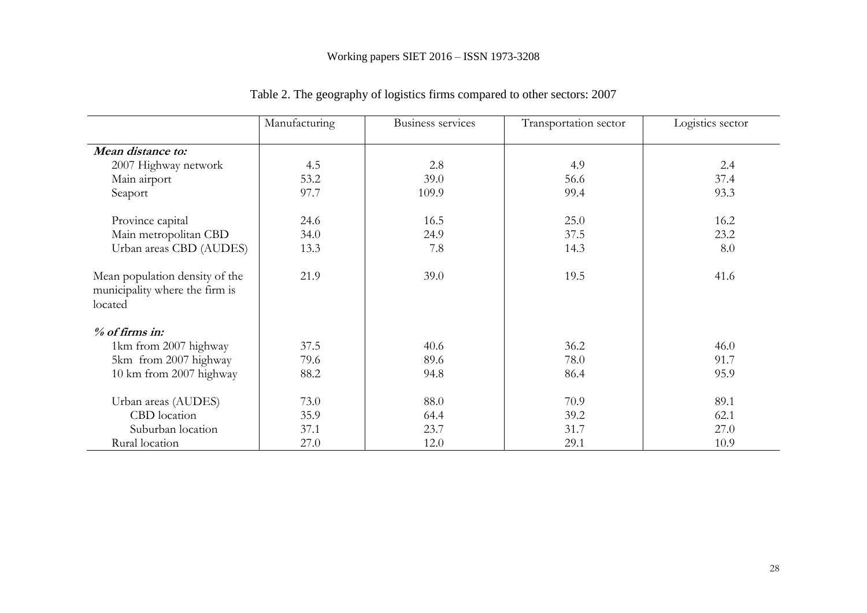|                                                                             | Manufacturing | Business services | Transportation sector | Logistics sector |
|-----------------------------------------------------------------------------|---------------|-------------------|-----------------------|------------------|
|                                                                             |               |                   |                       |                  |
| Mean distance to:                                                           |               |                   |                       |                  |
| 2007 Highway network                                                        | 4.5           | 2.8               | 4.9                   | 2.4              |
| Main airport                                                                | 53.2          | 39.0              | 56.6                  | 37.4             |
| Seaport                                                                     | 97.7          | 109.9             | 99.4                  | 93.3             |
| Province capital                                                            | 24.6          | 16.5              | 25.0                  | 16.2             |
| Main metropolitan CBD                                                       | 34.0          | 24.9              | 37.5                  | 23.2             |
| Urban areas CBD (AUDES)                                                     | 13.3          | 7.8               | 14.3                  | 8.0              |
| Mean population density of the<br>municipality where the firm is<br>located | 21.9          | 39.0              | 19.5                  | 41.6             |
| % of firms in:                                                              |               |                   |                       |                  |
| 1km from 2007 highway                                                       | 37.5          | 40.6              | 36.2                  | 46.0             |
| 5km from 2007 highway                                                       | 79.6          | 89.6              | 78.0                  | 91.7             |
| 10 km from 2007 highway                                                     | 88.2          | 94.8              | 86.4                  | 95.9             |
| Urban areas (AUDES)                                                         | 73.0          | 88.0              | 70.9                  | 89.1             |
| CBD location                                                                | 35.9          | 64.4              | 39.2                  | 62.1             |
| Suburban location                                                           | 37.1          | 23.7              | 31.7                  | 27.0             |
| Rural location                                                              | 27.0          | 12.0              | 29.1                  | 10.9             |

Table 2. The geography of logistics firms compared to other sectors: 2007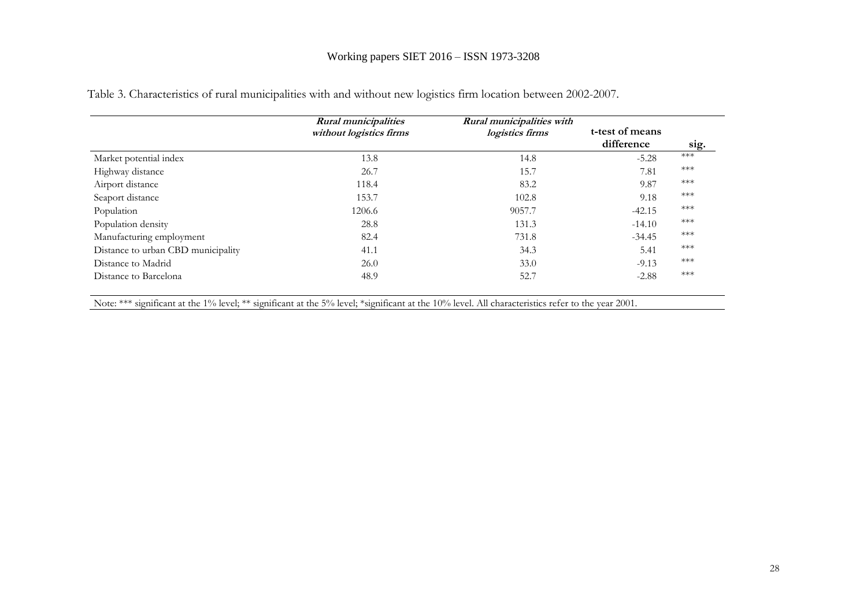## Working papers SIET 2016 – ISSN 1973-3208

|                                    | <b>Rural municipalities</b><br>without logistics firms | Rural municipalities with<br>logistics firms | t-test of means<br>difference | sig.  |
|------------------------------------|--------------------------------------------------------|----------------------------------------------|-------------------------------|-------|
| Market potential index             | 13.8                                                   | 14.8                                         | $-5.28$                       | $***$ |
| Highway distance                   | 26.7                                                   | 15.7                                         | 7.81                          | $***$ |
| Airport distance                   | 118.4                                                  | 83.2                                         | 9.87                          | ***   |
| Seaport distance                   | 153.7                                                  | 102.8                                        | 9.18                          | $***$ |
| Population                         | 1206.6                                                 | 9057.7                                       | $-42.15$                      | ***   |
| Population density                 | 28.8                                                   | 131.3                                        | $-14.10$                      | ***   |
| Manufacturing employment           | 82.4                                                   | 731.8                                        | $-34.45$                      | $***$ |
| Distance to urban CBD municipality | 41.1                                                   | 34.3                                         | 5.41                          | ***   |
| Distance to Madrid                 | 26.0                                                   | 33.0                                         | $-9.13$                       | $***$ |
| Distance to Barcelona              | 48.9                                                   | 52.7                                         | $-2.88$                       | ***   |

Table 3. Characteristics of rural municipalities with and without new logistics firm location between 2002-2007.

Note: \*\*\* significant at the 1% level; \*\* significant at the 5% level; \*significant at the 10% level. All characteristics refer to the year 2001.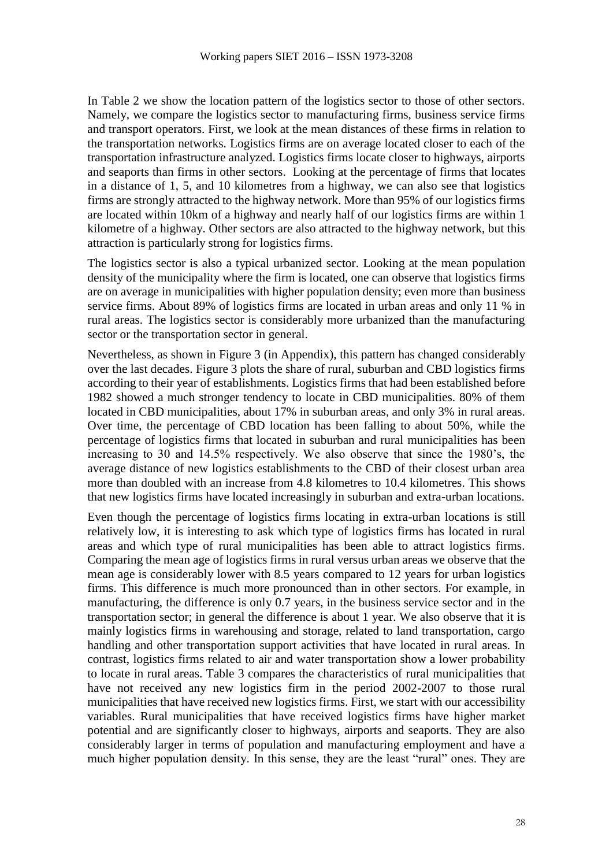In Table 2 we show the location pattern of the logistics sector to those of other sectors. Namely, we compare the logistics sector to manufacturing firms, business service firms and transport operators. First, we look at the mean distances of these firms in relation to the transportation networks. Logistics firms are on average located closer to each of the transportation infrastructure analyzed. Logistics firms locate closer to highways, airports and seaports than firms in other sectors. Looking at the percentage of firms that locates in a distance of 1, 5, and 10 kilometres from a highway, we can also see that logistics firms are strongly attracted to the highway network. More than 95% of our logistics firms are located within 10km of a highway and nearly half of our logistics firms are within 1 kilometre of a highway. Other sectors are also attracted to the highway network, but this attraction is particularly strong for logistics firms.

The logistics sector is also a typical urbanized sector. Looking at the mean population density of the municipality where the firm is located, one can observe that logistics firms are on average in municipalities with higher population density; even more than business service firms. About 89% of logistics firms are located in urban areas and only 11 % in rural areas. The logistics sector is considerably more urbanized than the manufacturing sector or the transportation sector in general.

Nevertheless, as shown in Figure 3 (in Appendix), this pattern has changed considerably over the last decades. Figure 3 plots the share of rural, suburban and CBD logistics firms according to their year of establishments. Logistics firms that had been established before 1982 showed a much stronger tendency to locate in CBD municipalities. 80% of them located in CBD municipalities, about 17% in suburban areas, and only 3% in rural areas. Over time, the percentage of CBD location has been falling to about 50%, while the percentage of logistics firms that located in suburban and rural municipalities has been increasing to 30 and 14.5% respectively. We also observe that since the 1980's, the average distance of new logistics establishments to the CBD of their closest urban area more than doubled with an increase from 4.8 kilometres to 10.4 kilometres. This shows that new logistics firms have located increasingly in suburban and extra-urban locations.

Even though the percentage of logistics firms locating in extra-urban locations is still relatively low, it is interesting to ask which type of logistics firms has located in rural areas and which type of rural municipalities has been able to attract logistics firms. Comparing the mean age of logistics firms in rural versus urban areas we observe that the mean age is considerably lower with 8.5 years compared to 12 years for urban logistics firms. This difference is much more pronounced than in other sectors. For example, in manufacturing, the difference is only 0.7 years, in the business service sector and in the transportation sector; in general the difference is about 1 year. We also observe that it is mainly logistics firms in warehousing and storage, related to land transportation, cargo handling and other transportation support activities that have located in rural areas. In contrast, logistics firms related to air and water transportation show a lower probability to locate in rural areas. Table 3 compares the characteristics of rural municipalities that have not received any new logistics firm in the period 2002-2007 to those rural municipalities that have received new logistics firms. First, we start with our accessibility variables. Rural municipalities that have received logistics firms have higher market potential and are significantly closer to highways, airports and seaports. They are also considerably larger in terms of population and manufacturing employment and have a much higher population density. In this sense, they are the least "rural" ones. They are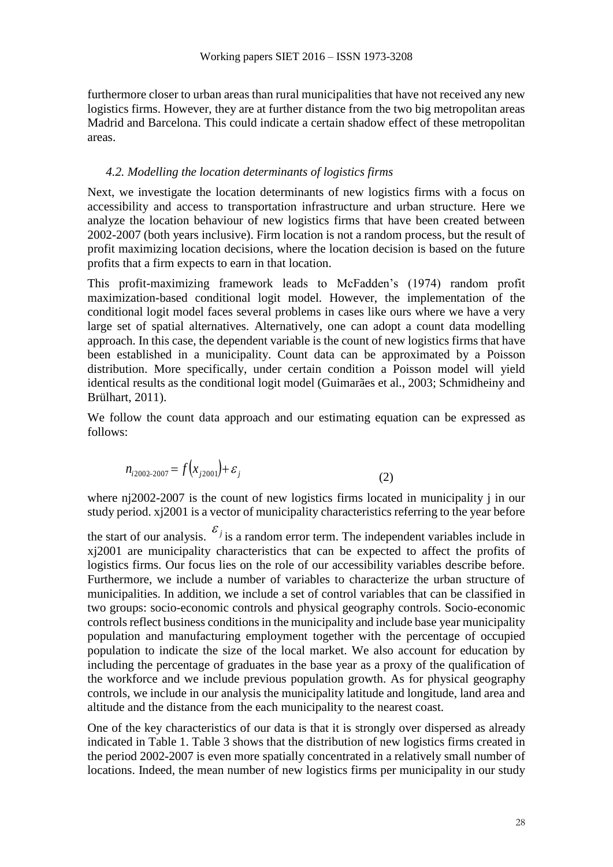furthermore closer to urban areas than rural municipalities that have not received any new logistics firms. However, they are at further distance from the two big metropolitan areas Madrid and Barcelona. This could indicate a certain shadow effect of these metropolitan areas.

#### *4.2. Modelling the location determinants of logistics firms*

Next, we investigate the location determinants of new logistics firms with a focus on accessibility and access to transportation infrastructure and urban structure. Here we analyze the location behaviour of new logistics firms that have been created between 2002-2007 (both years inclusive). Firm location is not a random process, but the result of profit maximizing location decisions, where the location decision is based on the future profits that a firm expects to earn in that location.

This profit-maximizing framework leads to McFadden's (1974) random profit maximization-based conditional logit model. However, the implementation of the conditional logit model faces several problems in cases like ours where we have a very large set of spatial alternatives. Alternatively, one can adopt a count data modelling approach. In this case, the dependent variable is the count of new logistics firms that have been established in a municipality. Count data can be approximated by a [Poisson](https://en.wikipedia.org/wiki/Poisson_distribution)  [distribution.](https://en.wikipedia.org/wiki/Poisson_distribution) More specifically, under certain condition a Poisson model will yield identical results as the conditional logit model (Guimarães et al., 2003; Schmidheiny and Brülhart, 2011).

We follow the count data approach and our estimating equation can be expressed as follows:

$$
n_{i2002-2007} = f(x_{j2001}) + \varepsilon_j
$$
\n(2)

where nj2002-2007 is the count of new logistics firms located in municipality j in our study period. xj2001 is a vector of municipality characteristics referring to the year before

the start of our analysis.  $\mathcal{E}_j$  is a random error term. The independent variables include in xj2001 are municipality characteristics that can be expected to affect the profits of logistics firms. Our focus lies on the role of our accessibility variables describe before. Furthermore, we include a number of variables to characterize the urban structure of municipalities. In addition, we include a set of control variables that can be classified in two groups: socio-economic controls and physical geography controls. Socio-economic controls reflect business conditions in the municipality and include base year municipality population and manufacturing employment together with the percentage of occupied population to indicate the size of the local market. We also account for education by including the percentage of graduates in the base year as a proxy of the qualification of the workforce and we include previous population growth. As for physical geography controls, we include in our analysis the municipality latitude and longitude, land area and altitude and the distance from the each municipality to the nearest coast.

One of the key characteristics of our data is that it is strongly over dispersed as already indicated in Table 1. Table 3 shows that the distribution of new logistics firms created in the period 2002-2007 is even more spatially concentrated in a relatively small number of locations. Indeed, the mean number of new logistics firms per municipality in our study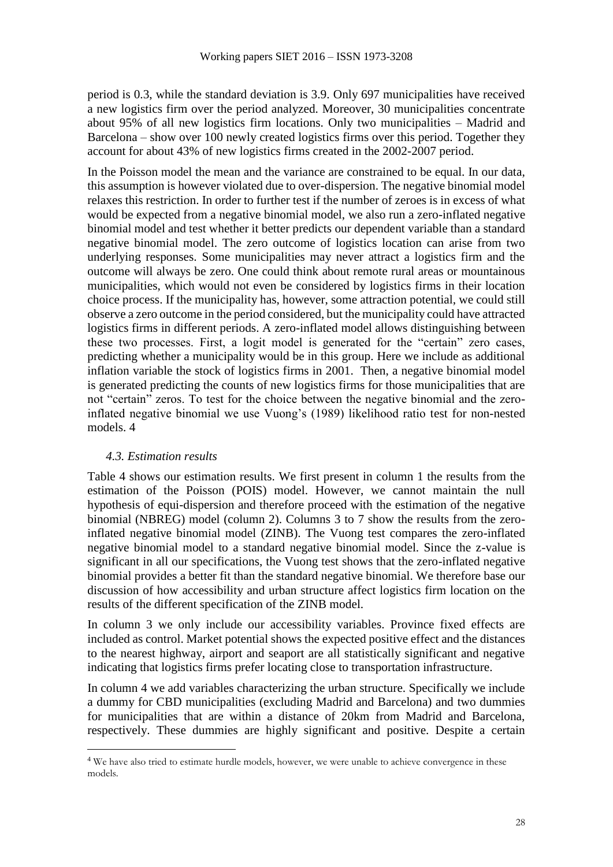period is 0.3, while the standard deviation is 3.9. Only 697 municipalities have received a new logistics firm over the period analyzed. Moreover, 30 municipalities concentrate about 95% of all new logistics firm locations. Only two municipalities – Madrid and Barcelona – show over 100 newly created logistics firms over this period. Together they account for about 43% of new logistics firms created in the 2002-2007 period.

In the Poisson model the mean and the variance are constrained to be equal. In our data, this assumption is however violated due to over-dispersion. The negative binomial model relaxes this restriction. In order to further test if the number of zeroes is in excess of what would be expected from a negative binomial model, we also run a zero-inflated negative binomial model and test whether it better predicts our dependent variable than a standard negative binomial model. The zero outcome of logistics location can arise from two underlying responses. Some municipalities may never attract a logistics firm and the outcome will always be zero. One could think about remote rural areas or mountainous municipalities, which would not even be considered by logistics firms in their location choice process. If the municipality has, however, some attraction potential, we could still observe a zero outcome in the period considered, but the municipality could have attracted logistics firms in different periods. A zero-inflated model allows distinguishing between these two processes. First, a logit model is generated for the "certain" zero cases, predicting whether a municipality would be in this group. Here we include as additional inflation variable the stock of logistics firms in 2001. Then, a negative binomial model is generated predicting the counts of new logistics firms for those municipalities that are not "certain" zeros. To test for the choice between the negative binomial and the zeroinflated negative binomial we use Vuong's (1989) likelihood ratio test for non-nested models. 4

### *4.3. Estimation results*

 $\overline{a}$ 

Table 4 shows our estimation results. We first present in column 1 the results from the estimation of the Poisson (POIS) model. However, we cannot maintain the null hypothesis of equi-dispersion and therefore proceed with the estimation of the negative binomial (NBREG) model (column 2). Columns 3 to 7 show the results from the zeroinflated negative binomial model (ZINB). The Vuong test compares the zero-inflated negative binomial model to a standard negative binomial model. Since the z-value is significant in all our specifications, the Vuong test shows that the zero-inflated negative binomial provides a better fit than the standard negative binomial. We therefore base our discussion of how accessibility and urban structure affect logistics firm location on the results of the different specification of the ZINB model.

In column 3 we only include our accessibility variables. Province fixed effects are included as control. Market potential shows the expected positive effect and the distances to the nearest highway, airport and seaport are all statistically significant and negative indicating that logistics firms prefer locating close to transportation infrastructure.

In column 4 we add variables characterizing the urban structure. Specifically we include a dummy for CBD municipalities (excluding Madrid and Barcelona) and two dummies for municipalities that are within a distance of 20km from Madrid and Barcelona, respectively. These dummies are highly significant and positive. Despite a certain

<sup>&</sup>lt;sup>4</sup> We have also tried to estimate hurdle models, however, we were unable to achieve convergence in these models.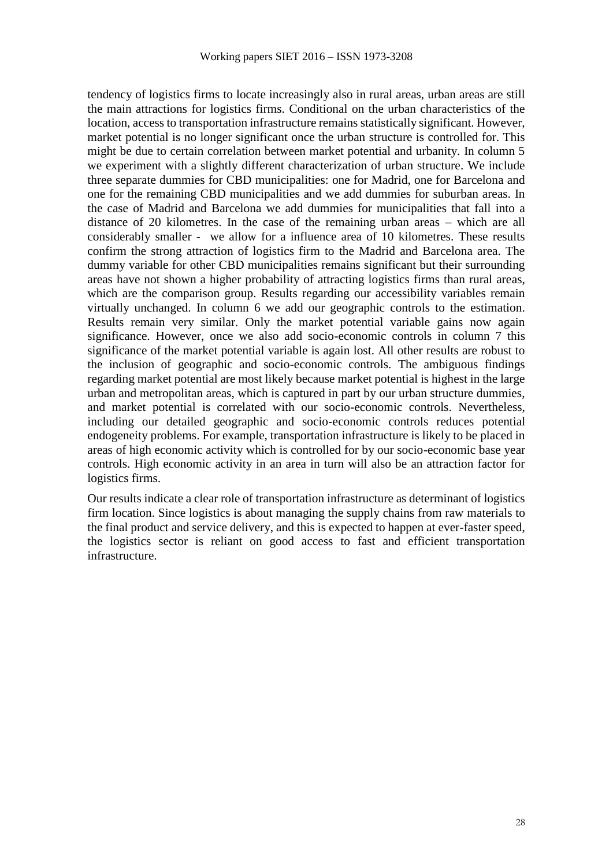tendency of logistics firms to locate increasingly also in rural areas, urban areas are still the main attractions for logistics firms. Conditional on the urban characteristics of the location, access to transportation infrastructure remains statistically significant. However, market potential is no longer significant once the urban structure is controlled for. This might be due to certain correlation between market potential and urbanity. In column 5 we experiment with a slightly different characterization of urban structure. We include three separate dummies for CBD municipalities: one for Madrid, one for Barcelona and one for the remaining CBD municipalities and we add dummies for suburban areas. In the case of Madrid and Barcelona we add dummies for municipalities that fall into a distance of 20 kilometres. In the case of the remaining urban areas – which are all considerably smaller - we allow for a influence area of 10 kilometres. These results confirm the strong attraction of logistics firm to the Madrid and Barcelona area. The dummy variable for other CBD municipalities remains significant but their surrounding areas have not shown a higher probability of attracting logistics firms than rural areas, which are the comparison group. Results regarding our accessibility variables remain virtually unchanged. In column 6 we add our geographic controls to the estimation. Results remain very similar. Only the market potential variable gains now again significance. However, once we also add socio-economic controls in column 7 this significance of the market potential variable is again lost. All other results are robust to the inclusion of geographic and socio-economic controls. The ambiguous findings regarding market potential are most likely because market potential is highest in the large urban and metropolitan areas, which is captured in part by our urban structure dummies, and market potential is correlated with our socio-economic controls. Nevertheless, including our detailed geographic and socio-economic controls reduces potential endogeneity problems. For example, transportation infrastructure is likely to be placed in areas of high economic activity which is controlled for by our socio-economic base year controls. High economic activity in an area in turn will also be an attraction factor for logistics firms.

Our results indicate a clear role of transportation infrastructure as determinant of logistics firm location. Since logistics is about managing the supply chains from raw materials to the final product and service delivery, and this is expected to happen at ever-faster speed, the logistics sector is reliant on good access to fast and efficient transportation infrastructure.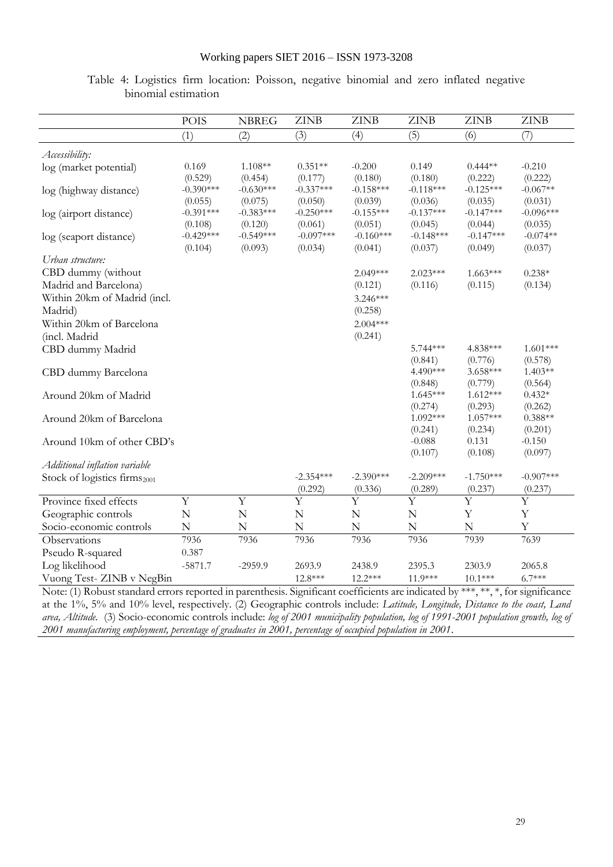|                                          | <b>POIS</b>            | <b>NBREG</b>           | <b>ZINB</b>            | <b>ZINB</b>             | <b>ZINB</b>            | <b>ZINB</b>            | <b>ZINB</b>           |
|------------------------------------------|------------------------|------------------------|------------------------|-------------------------|------------------------|------------------------|-----------------------|
|                                          | (1)                    | (2)                    | (3)                    | (4)                     | (5)                    | (6)                    | (7)                   |
| Accessibility:                           |                        |                        |                        |                         |                        |                        |                       |
| log (market potential)                   | 0.169                  | 1.108**                | $0.351**$              | $-0.200$                | 0.149                  | $0.444**$              | $-0.210$              |
|                                          | (0.529)                | (0.454)                | (0.177)                | (0.180)                 | (0.180)                | (0.222)                | (0.222)               |
| log (highway distance)                   | $-0.390***$            | $-0.630***$            | $-0.337***$            | $-0.158***$             | $-0.118***$            | $-0.125***$            | $-0.067**$            |
|                                          | (0.055)                | (0.075)                | (0.050)                | (0.039)                 | (0.036)                | (0.035)                | (0.031)               |
| log (airport distance)                   | $-0.391***$            | $-0.383***$            | $-0.250***$            | $-0.155***$             | $-0.137***$            | $-0.147***$            | $-0.096***$           |
|                                          | (0.108)<br>$-0.429***$ | (0.120)<br>$-0.549***$ | (0.061)<br>$-0.097***$ | (0.051)<br>$-0.160***$  | (0.045)<br>$-0.148***$ | (0.044)<br>$-0.147***$ | (0.035)<br>$-0.074**$ |
| log (seaport distance)                   | (0.104)                | (0.093)                | (0.034)                | (0.041)                 | (0.037)                | (0.049)                | (0.037)               |
| Urban structure:                         |                        |                        |                        |                         |                        |                        |                       |
| CBD dummy (without                       |                        |                        |                        | $2.049***$              | $2.023***$             | $1.663***$             | $0.238*$              |
| Madrid and Barcelona)                    |                        |                        |                        | (0.121)                 | (0.116)                | (0.115)                | (0.134)               |
| Within 20km of Madrid (incl.             |                        |                        |                        | 3.246***                |                        |                        |                       |
| Madrid)                                  |                        |                        |                        | (0.258)                 |                        |                        |                       |
| Within 20km of Barcelona                 |                        |                        |                        | $2.004***$              |                        |                        |                       |
| (incl. Madrid                            |                        |                        |                        | (0.241)                 |                        |                        |                       |
| CBD dummy Madrid                         |                        |                        |                        |                         | 5.744 ***              | 4.838***               | $1.601***$            |
|                                          |                        |                        |                        |                         | (0.841)                | (0.776)                | (0.578)               |
| CBD dummy Barcelona                      |                        |                        |                        |                         | 4.490***               | 3.658***               | $1.403**$             |
|                                          |                        |                        |                        |                         | (0.848)                | (0.779)                | (0.564)               |
| Around 20km of Madrid                    |                        |                        |                        |                         | $1.645***$             | $1.612***$             | $0.432*$              |
|                                          |                        |                        |                        |                         | (0.274)<br>1.092***    | (0.293)<br>$1.057***$  | (0.262)<br>$0.388**$  |
| Around 20km of Barcelona                 |                        |                        |                        |                         | (0.241)                | (0.234)                | (0.201)               |
| Around 10km of other CBD's               |                        |                        |                        |                         | $-0.088$               | 0.131                  | $-0.150$              |
|                                          |                        |                        |                        |                         | (0.107)                | (0.108)                | (0.097)               |
| Additional inflation variable            |                        |                        |                        |                         |                        |                        |                       |
| Stock of logistics firms <sub>2001</sub> |                        |                        | $-2.354***$            | $-2.390***$             | $-2.209***$            | $-1.750***$            | $-0.907***$           |
|                                          |                        |                        | (0.292)                | (0.336)                 | (0.289)                | (0.237)                | (0.237)               |
| Province fixed effects                   | Y                      | $\overline{Y}$         | $\overline{Y}$         | $\overline{\mathrm{Y}}$ | $\overline{Y}$         | $\overline{Y}$         | Y                     |
| Geographic controls                      | ${\bf N}$              | ${\bf N}$              | N                      | $\mathbf N$             | $\mathbf N$            | Y                      | $\mathbf Y$           |
| Socio-economic controls                  | $\mathbf N$            | N                      | N                      | $\mathbf N$             | $\mathbf N$            | N                      | Y                     |
| Observations                             | 7936                   | 7936                   | 7936                   | 7936                    | 7936                   | 7939                   | 7639                  |
| Pseudo R-squared                         | 0.387                  |                        |                        |                         |                        |                        |                       |
| Log likelihood                           | $-5871.7$              | $-2959.9$              | 2693.9                 | 2438.9                  | 2395.3                 | 2303.9                 | 2065.8                |
| Vuong Test- ZINB v NegBin                |                        |                        | 12.8***                | $12.2***$               | 11.9***                | $10.1***$              | $6.7***$              |

|  | Table 4: Logistics firm location: Poisson, negative binomial and zero inflated negative |  |  |  |  |  |
|--|-----------------------------------------------------------------------------------------|--|--|--|--|--|
|  | binomial estimation                                                                     |  |  |  |  |  |

Note: (1) Robust standard errors reported in parenthesis. Significant coefficients are indicated by \*\*\*, \*\*, \*, for significance at the 1%, 5% and 10% level, respectively. (2) Geographic controls include: *Latitude, Longitude, Distance to the coast, Land area, Altitude.* (3) Socio-economic controls include: *log of 2001 municipality population, log of 1991-2001 population growth, log of 2001 manufacturing employment, percentage of graduates in 2001, percentage of occupied population in 2001*.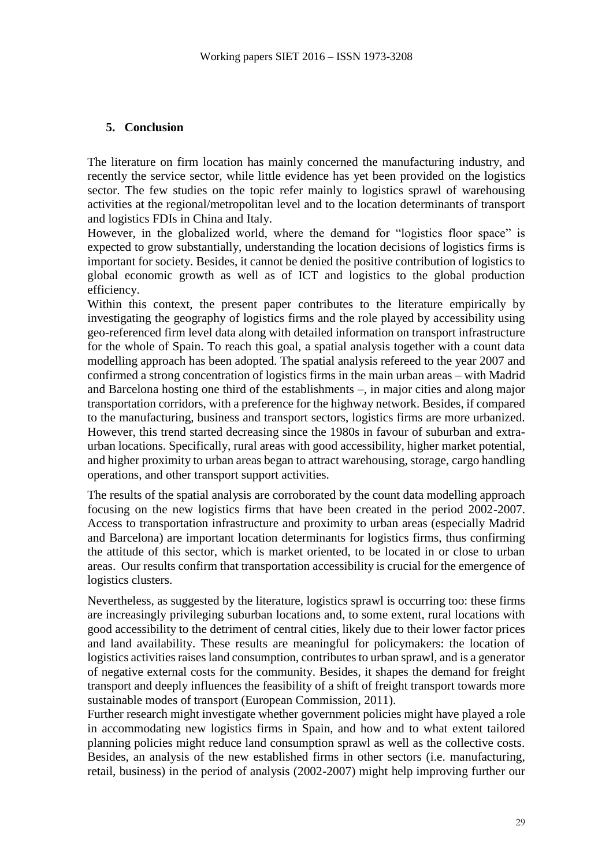### **5. Conclusion**

The literature on firm location has mainly concerned the manufacturing industry, and recently the service sector, while little evidence has yet been provided on the logistics sector. The few studies on the topic refer mainly to logistics sprawl of warehousing activities at the regional/metropolitan level and to the location determinants of transport and logistics FDIs in China and Italy.

However, in the globalized world, where the demand for "logistics floor space" is expected to grow substantially, understanding the location decisions of logistics firms is important for society. Besides, it cannot be denied the positive contribution of logistics to global economic growth as well as of ICT and logistics to the global production efficiency.

Within this context, the present paper contributes to the literature empirically by investigating the geography of logistics firms and the role played by accessibility using geo-referenced firm level data along with detailed information on transport infrastructure for the whole of Spain. To reach this goal, a spatial analysis together with a count data modelling approach has been adopted. The spatial analysis refereed to the year 2007 and confirmed a strong concentration of logistics firms in the main urban areas – with Madrid and Barcelona hosting one third of the establishments –, in major cities and along major transportation corridors, with a preference for the highway network. Besides, if compared to the manufacturing, business and transport sectors, logistics firms are more urbanized. However, this trend started decreasing since the 1980s in favour of suburban and extraurban locations. Specifically, rural areas with good accessibility, higher market potential, and higher proximity to urban areas began to attract warehousing, storage, cargo handling operations, and other transport support activities.

The results of the spatial analysis are corroborated by the count data modelling approach focusing on the new logistics firms that have been created in the period 2002-2007. Access to transportation infrastructure and proximity to urban areas (especially Madrid and Barcelona) are important location determinants for logistics firms, thus confirming the attitude of this sector, which is market oriented, to be located in or close to urban areas. Our results confirm that transportation accessibility is crucial for the emergence of logistics clusters.

Nevertheless, as suggested by the literature, logistics sprawl is occurring too: these firms are increasingly privileging suburban locations and, to some extent, rural locations with good accessibility to the detriment of central cities, likely due to their lower factor prices and land availability. These results are meaningful for policymakers: the location of logistics activities raises land consumption, contributes to urban sprawl, and is a generator of negative external costs for the community. Besides, it shapes the demand for freight transport and deeply influences the feasibility of a shift of freight transport towards more sustainable modes of transport (European Commission, 2011).

Further research might investigate whether government policies might have played a role in accommodating new logistics firms in Spain, and how and to what extent tailored planning policies might reduce land consumption sprawl as well as the collective costs. Besides, an analysis of the new established firms in other sectors (i.e. manufacturing, retail, business) in the period of analysis (2002-2007) might help improving further our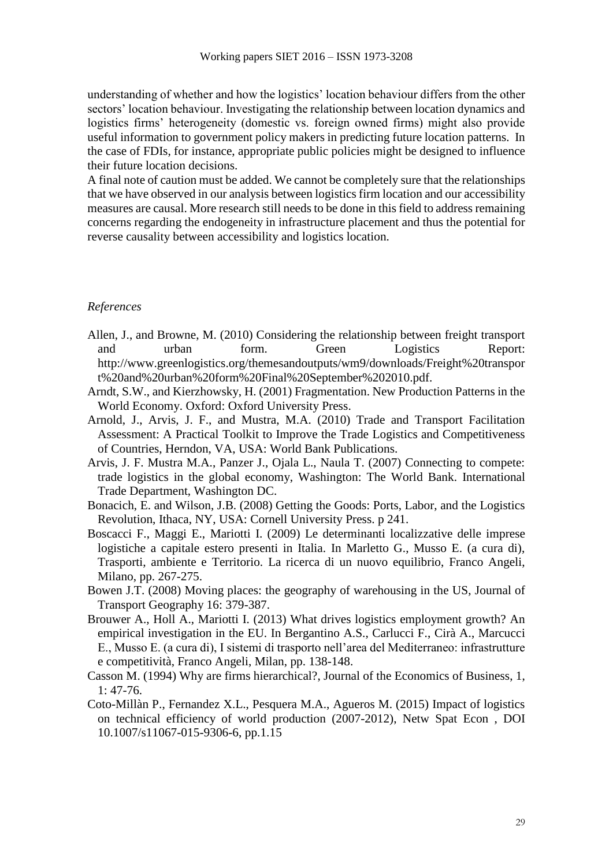understanding of whether and how the logistics' location behaviour differs from the other sectors' location behaviour. Investigating the relationship between location dynamics and logistics firms' heterogeneity (domestic vs. foreign owned firms) might also provide useful information to government policy makers in predicting future location patterns. In the case of FDIs, for instance, appropriate public policies might be designed to influence their future location decisions.

A final note of caution must be added. We cannot be completely sure that the relationships that we have observed in our analysis between logistics firm location and our accessibility measures are causal. More research still needs to be done in this field to address remaining concerns regarding the endogeneity in infrastructure placement and thus the potential for reverse causality between accessibility and logistics location.

### *References*

- Allen, J., and Browne, M. (2010) Considering the relationship between freight transport and urban form. Green Logistics Report: http://www.greenlogistics.org/themesandoutputs/wm9/downloads/Freight%20transpor t%20and%20urban%20form%20Final%20September%202010.pdf.
- Arndt, S.W., and Kierzhowsky, H. (2001) Fragmentation. New Production Patterns in the World Economy. Oxford: Oxford University Press.
- Arnold, J., Arvis, J. F., and Mustra, M.A. (2010) Trade and Transport Facilitation Assessment: A Practical Toolkit to Improve the Trade Logistics and Competitiveness of Countries, Herndon, VA, USA: World Bank Publications.
- Arvis, J. F. Mustra M.A., Panzer J., Ojala L., Naula T. (2007) Connecting to compete: trade logistics in the global economy, Washington: The World Bank. International Trade Department, Washington DC.
- Bonacich, E. and Wilson, J.B. (2008) Getting the Goods: Ports, Labor, and the Logistics Revolution, Ithaca, NY, USA: Cornell University Press. p 241.
- Boscacci F., Maggi E., Mariotti I. (2009) Le determinanti localizzative delle imprese logistiche a capitale estero presenti in Italia. In Marletto G., Musso E. (a cura di), Trasporti, ambiente e Territorio. La ricerca di un nuovo equilibrio, Franco Angeli, Milano, pp. 267-275.
- Bowen J.T. (2008) Moving places: the geography of warehousing in the US, Journal of Transport Geography 16: 379-387.
- Brouwer A., Holl A., Mariotti I. (2013) What drives logistics employment growth? An empirical investigation in the EU. In Bergantino A.S., Carlucci F., Cirà A., Marcucci E., Musso E. (a cura di), I sistemi di trasporto nell'area del Mediterraneo: infrastrutture e competitività, Franco Angeli, Milan, pp. 138-148.
- Casson M. (1994) Why are firms hierarchical?, Journal of the Economics of Business, 1, 1: 47-76.
- Coto-Millàn P., Fernandez X.L., Pesquera M.A., Agueros M. (2015) Impact of logistics on technical efficiency of world production (2007-2012), Netw Spat Econ , DOI 10.1007/s11067-015-9306-6, pp.1.15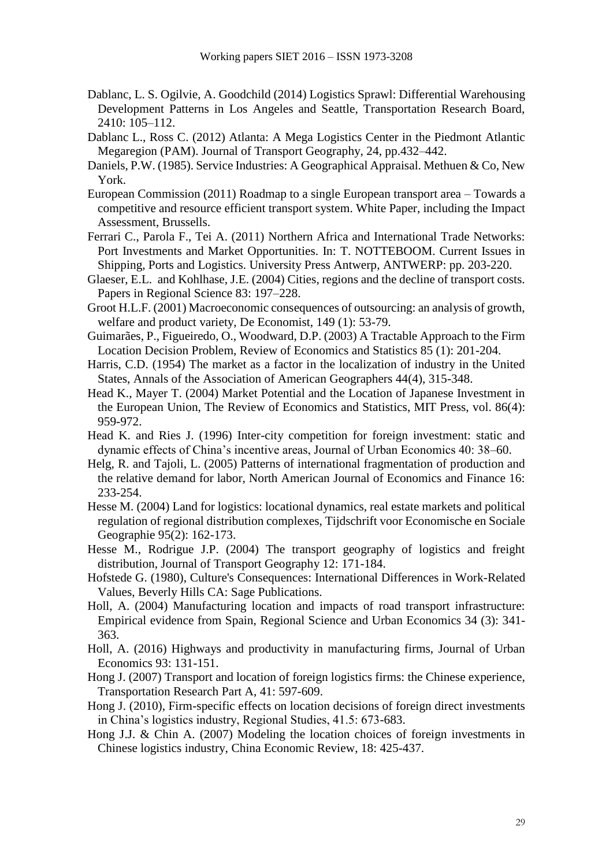- Dablanc, L. S. Ogilvie, A. Goodchild (2014) Logistics Sprawl: Differential Warehousing Development Patterns in Los Angeles and Seattle, Transportation Research Board, 2410: 105–112.
- Dablanc L., Ross C. (2012) Atlanta: A Mega Logistics Center in the Piedmont Atlantic Megaregion (PAM). Journal of Transport Geography, 24, pp.432–442.
- Daniels, P.W. (1985). Service Industries: A Geographical Appraisal. Methuen & Co, New York.
- European Commission (2011) Roadmap to a single European transport area Towards a competitive and resource efficient transport system. White Paper, including the Impact Assessment, Brussells.
- Ferrari C., Parola F., Tei A. (2011) Northern Africa and International Trade Networks: Port Investments and Market Opportunities. In: T. NOTTEBOOM. Current Issues in Shipping, Ports and Logistics. University Press Antwerp, ANTWERP: pp. 203-220.
- Glaeser, E.L. and Kohlhase, J.E. (2004) Cities, regions and the decline of transport costs. Papers in Regional Science 83: 197–228.
- Groot H.L.F. (2001) Macroeconomic consequences of outsourcing: an analysis of growth, welfare and product variety, De Economist, 149 (1): 53-79.
- Guimarães, P., Figueiredo, O., Woodward, D.P. (2003) A Tractable Approach to the Firm Location Decision Problem, Review of Economics and Statistics 85 (1): 201-204.
- Harris, C.D. (1954) The market as a factor in the localization of industry in the United States, Annals of the Association of American Geographers 44(4), 315-348.
- Head K., Mayer T. (2004) Market Potential and the Location of Japanese Investment in the European Union, The Review of Economics and Statistics, MIT Press, vol. 86(4): 959-972.
- Head K. and Ries J. (1996) Inter-city competition for foreign investment: static and dynamic effects of China's incentive areas, Journal of Urban Economics 40: 38–60.
- Helg, R. and Tajoli, L. (2005) Patterns of international fragmentation of production and the relative demand for labor, North American Journal of Economics and Finance 16: 233-254.
- Hesse M. (2004) Land for logistics: locational dynamics, real estate markets and political regulation of regional distribution complexes, Tijdschrift voor Economische en Sociale Geographie 95(2): 162-173.
- Hesse M., Rodrigue J.P. (2004) The transport geography of logistics and freight distribution, Journal of Transport Geography 12: 171-184.
- Hofstede G. (1980), Culture's Consequences: International Differences in Work-Related Values, Beverly Hills CA: Sage Publications.
- Holl, A. (2004) Manufacturing location and impacts of road transport infrastructure: Empirical evidence from Spain, Regional Science and Urban Economics 34 (3): 341- 363.
- Holl, A. (2016) Highways and productivity in manufacturing firms, Journal of Urban Economics 93: 131-151.
- Hong J. (2007) Transport and location of foreign logistics firms: the Chinese experience, Transportation Research Part A, 41: 597-609.
- Hong J. (2010), Firm-specific effects on location decisions of foreign direct investments in China's logistics industry, Regional Studies, 41.5: 673-683.
- Hong J.J. & Chin A. (2007) Modeling the location choices of foreign investments in Chinese logistics industry, China Economic Review, 18: 425-437.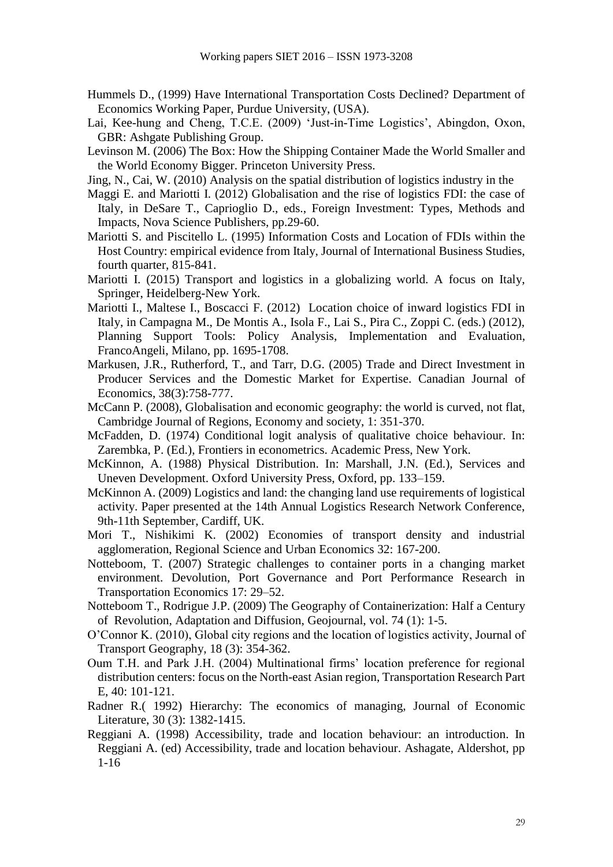- Hummels D., (1999) Have International Transportation Costs Declined? Department of Economics Working Paper, Purdue University, (USA).
- Lai, Kee-hung and Cheng, T.C.E. (2009) 'Just-in-Time Logistics', Abingdon, Oxon, GBR: Ashgate Publishing Group.
- Levinson M. (2006) The Box: How the Shipping Container Made the World Smaller and the World Economy Bigger. Princeton University Press.
- Jing, N., Cai, W. (2010) Analysis on the spatial distribution of logistics industry in the
- Maggi E. and Mariotti I. (2012) Globalisation and the rise of logistics FDI: the case of Italy, in DeSare T., Caprioglio D., eds., Foreign Investment: Types, Methods and Impacts, Nova Science Publishers, pp.29-60.
- Mariotti S. and Piscitello L. (1995) Information Costs and Location of FDIs within the Host Country: empirical evidence from Italy, Journal of International Business Studies, fourth quarter, 815-841.
- Mariotti I. (2015) Transport and logistics in a globalizing world. A focus on Italy, Springer, Heidelberg-New York.
- Mariotti I., Maltese I., Boscacci F. (2012) Location choice of inward logistics FDI in Italy, in Campagna M., De Montis A., Isola F., Lai S., Pira C., Zoppi C. (eds.) (2012), Planning Support Tools: Policy Analysis, Implementation and Evaluation, FrancoAngeli, Milano, pp. 1695-1708.
- Markusen, J.R., Rutherford, T., and Tarr, D.G. (2005) Trade and Direct Investment in Producer Services and the Domestic Market for Expertise. Canadian Journal of Economics, 38(3):758-777.
- McCann P. (2008), Globalisation and economic geography: the world is curved, not flat, Cambridge Journal of Regions, Economy and society, 1: 351-370.
- McFadden, D. (1974) Conditional logit analysis of qualitative choice behaviour. In: Zarembka, P. (Ed.), Frontiers in econometrics. Academic Press, New York.
- McKinnon, A. (1988) Physical Distribution. In: Marshall, J.N. (Ed.), Services and Uneven Development. Oxford University Press, Oxford, pp. 133–159.
- McKinnon A. (2009) Logistics and land: the changing land use requirements of logistical activity. Paper presented at the 14th Annual Logistics Research Network Conference, 9th-11th September, Cardiff, UK.
- Mori T., Nishikimi K. (2002) Economies of transport density and industrial agglomeration, Regional Science and Urban Economics 32: 167-200.
- Notteboom, T. (2007) Strategic challenges to container ports in a changing market environment. Devolution, Port Governance and Port Performance Research in Transportation Economics 17: 29–52.
- Notteboom T., Rodrigue J.P. (2009) The Geography of Containerization: Half a Century of Revolution, Adaptation and Diffusion, Geojournal, vol. 74 (1): 1-5.
- O'Connor K. (2010), Global city regions and the location of logistics activity, Journal of Transport Geography, 18 (3): 354-362.
- Oum T.H. and Park J.H. (2004) Multinational firms' location preference for regional distribution centers: focus on the North-east Asian region, Transportation Research Part E, 40: 101-121.
- Radner R.( 1992) Hierarchy: The economics of managing, Journal of Economic Literature, 30 (3): 1382-1415.
- Reggiani A. (1998) Accessibility, trade and location behaviour: an introduction. In Reggiani A. (ed) Accessibility, trade and location behaviour. Ashagate, Aldershot, pp 1-16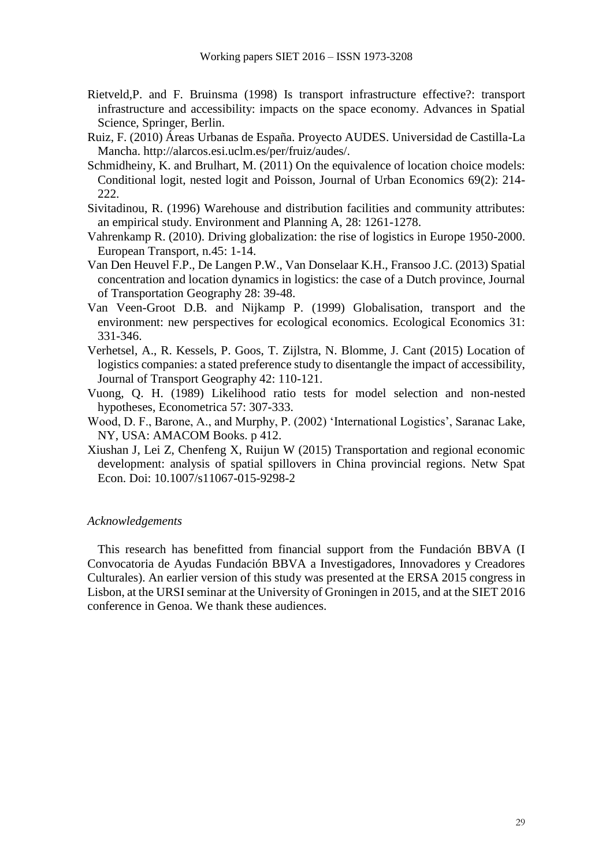- Rietveld,P. and F. Bruinsma (1998) Is transport infrastructure effective?: transport infrastructure and accessibility: impacts on the space economy. Advances in Spatial Science, Springer, Berlin.
- Ruiz, F. (2010) Áreas Urbanas de España. Proyecto AUDES. Universidad de Castilla-La Mancha. http://alarcos.esi.uclm.es/per/fruiz/audes/.
- Schmidheiny, K. and Brulhart, M. (2011) On the equivalence of location choice models: Conditional logit, nested logit and Poisson, Journal of Urban Economics 69(2): 214- 222.
- Sivitadinou, R. (1996) Warehouse and distribution facilities and community attributes: an empirical study. Environment and Planning A, 28: 1261-1278.
- Vahrenkamp R. (2010). Driving globalization: the rise of logistics in Europe 1950-2000. European Transport, n.45: 1-14.
- Van Den Heuvel F.P., De Langen P.W., Van Donselaar K.H., Fransoo J.C. (2013) Spatial concentration and location dynamics in logistics: the case of a Dutch province, Journal of Transportation Geography 28: 39-48.
- Van Veen-Groot D.B. and Nijkamp P. (1999) Globalisation, transport and the environment: new perspectives for ecological economics. Ecological Economics 31: 331-346.
- Verhetsel, A., R. Kessels, P. Goos, T. Zijlstra, N. Blomme, J. Cant (2015) Location of logistics companies: a stated preference study to disentangle the impact of accessibility, Journal of Transport Geography 42: 110-121.
- Vuong, Q. H. (1989) Likelihood ratio tests for model selection and non-nested hypotheses, Econometrica 57: 307-333.
- Wood, D. F., Barone, A., and Murphy, P. (2002) 'International Logistics', Saranac Lake, NY, USA: AMACOM Books. p 412.
- Xiushan J, Lei Z, Chenfeng X, Ruijun W (2015) Transportation and regional economic development: analysis of spatial spillovers in China provincial regions. Netw Spat Econ. Doi: 10.1007/s11067-015-9298-2

#### *Acknowledgements*

This research has benefitted from financial support from the Fundación BBVA (I Convocatoria de Ayudas Fundación BBVA a Investigadores, Innovadores y Creadores Culturales). An earlier version of this study was presented at the ERSA 2015 congress in Lisbon, at the URSI seminar at the University of Groningen in 2015, and at the SIET 2016 conference in Genoa. We thank these audiences.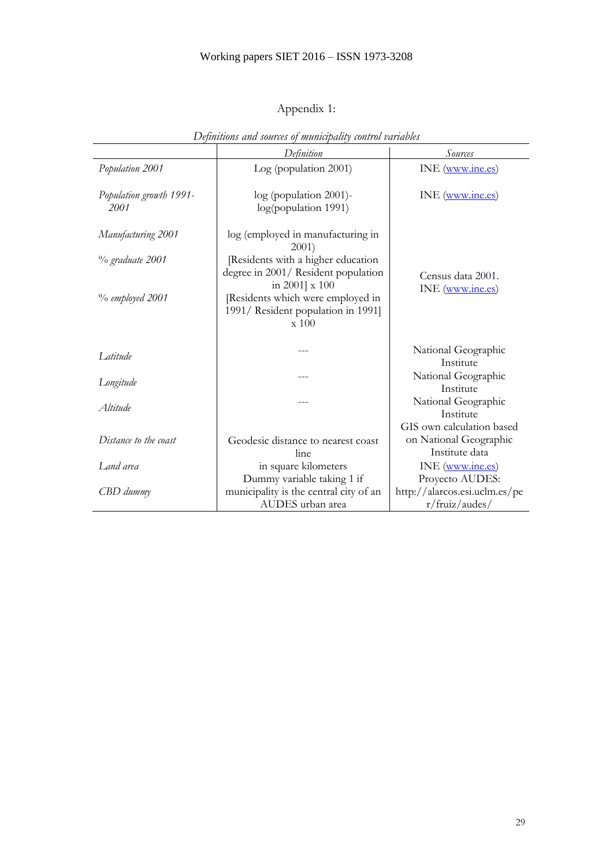# Appendix 1:

|                                 | Definition                                                                                 | <b>Sources</b>                                                        |  |  |
|---------------------------------|--------------------------------------------------------------------------------------------|-----------------------------------------------------------------------|--|--|
| Population 2001                 | Log (population 2001)                                                                      | INE (www.ine.es)                                                      |  |  |
| Population growth 1991-<br>2001 | log (population 2001)-<br>log(population 1991)                                             | INE (www.ine.es)                                                      |  |  |
| Manufacturing 2001              | log (employed in manufacturing in<br>2001)                                                 |                                                                       |  |  |
| % graduate 2001                 | Residents with a higher education<br>degree in 2001/ Resident population<br>in 2001] x 100 | Census data 2001.                                                     |  |  |
| $\%$ employed 2001              | [Residents which were employed in<br>1991/ Resident population in 1991]<br>$\ge 100$       | INE (www.ine.es)                                                      |  |  |
| I atitude                       |                                                                                            | National Geographic                                                   |  |  |
|                                 | ---                                                                                        | Institute<br>National Geographic                                      |  |  |
| Longitude                       |                                                                                            | Institute                                                             |  |  |
| Altitude                        |                                                                                            | National Geographic<br>Institute                                      |  |  |
| Distance to the coast           | Geodesic distance to nearest coast<br>line                                                 | GIS own calculation based<br>on National Geographic<br>Institute data |  |  |
| Land area                       | in square kilometers                                                                       | INE (www.ine.es)                                                      |  |  |
|                                 | Dummy variable taking 1 if                                                                 | Proyecto AUDES:                                                       |  |  |
| CBD dummy                       | municipality is the central city of an                                                     | http://alarcos.esi.uclm.es/pe                                         |  |  |
|                                 | AUDES urban area                                                                           | r/fruiz/audes/                                                        |  |  |

*Definitions and sources of municipality control variables*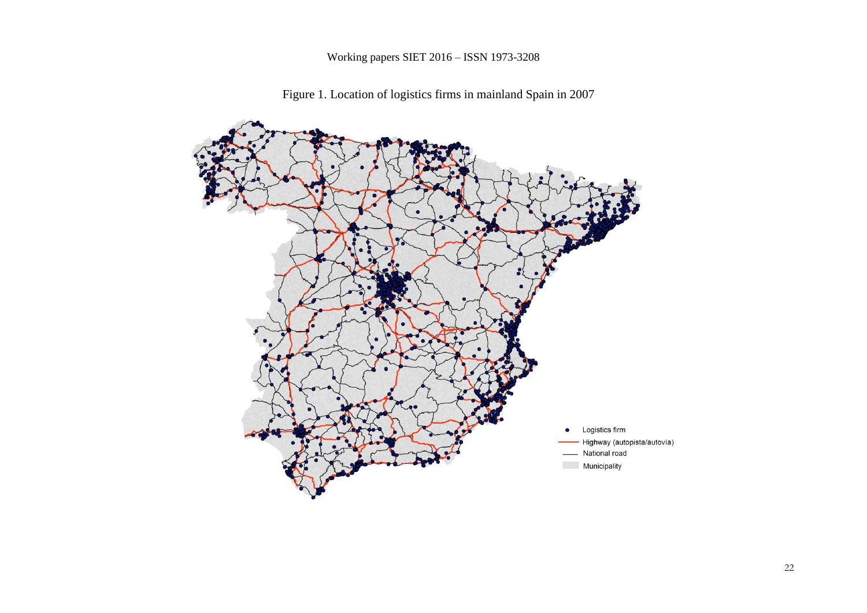

Figure 1. Location of logistics firms in mainland Spain in 2007